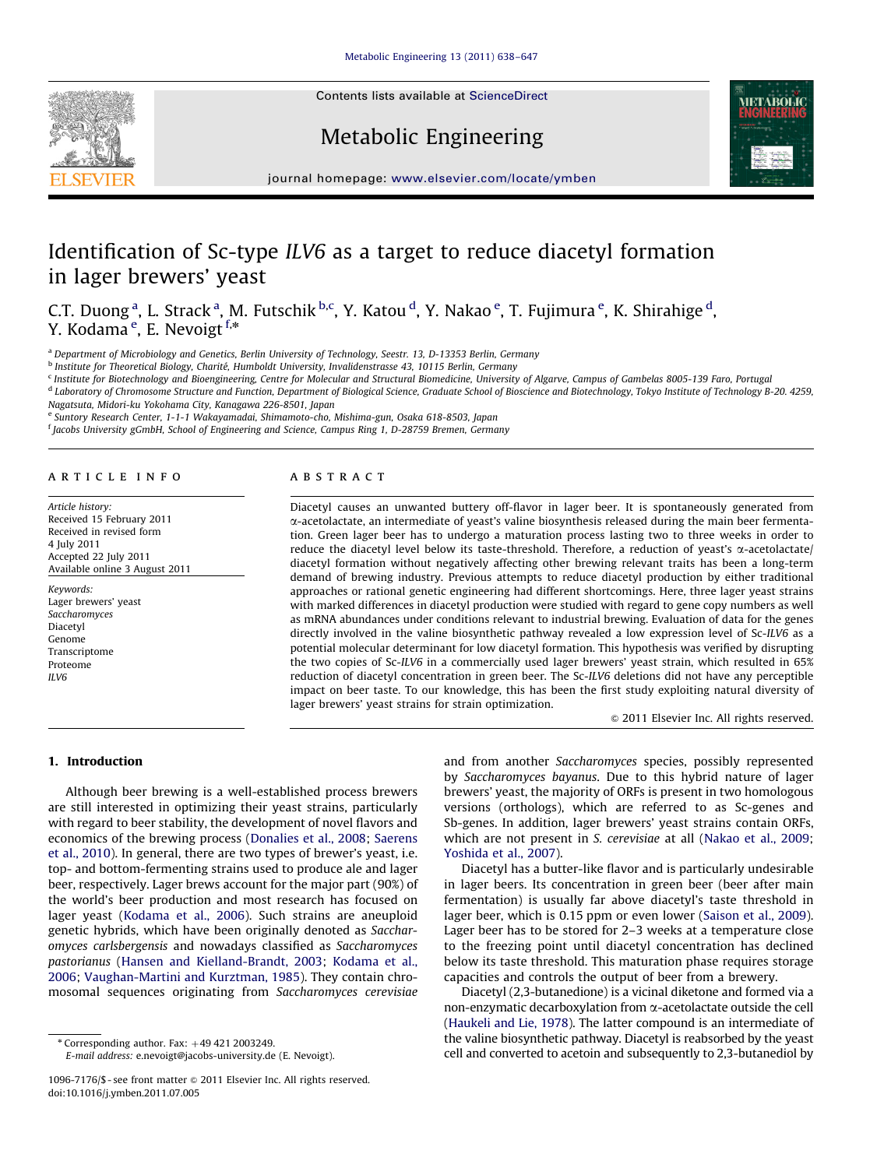Contents lists available at ScienceDirect





Metabolic Engineering

## journal homepage: <www.elsevier.com/locate/ymben>

# Identification of Sc-type ILV6 as a target to reduce diacetyl formation in lager brewers' yeast

C.T. Duong <sup>a</sup>, L. Strack <sup>a</sup>, M. Futschik <sup>b,c</sup>, Y. Katou <sup>d</sup>, Y. Nakao <sup>e</sup>, T. Fujimura <sup>e</sup>, K. Shirahige <sup>d</sup>, Y. Kodama<sup>e</sup>, E. Nevoigt <sup>f,\*</sup>

a Department of Microbiology and Genetics, Berlin University of Technology, Seestr. 13, D-13353 Berlin, Germany

<sup>b</sup> Institute for Theoretical Biology, Charité, Humboldt University, Invalidenstrasse 43, 10115 Berlin, Germany

<sup>c</sup> Institute for Biotechnology and Bioengineering, Centre for Molecular and Structural Biomedicine, University of Algarve, Campus of Gambelas 8005-139 Faro, Portugal

<sup>d</sup> Laboratory of Chromosome Structure and Function, Department of Biological Science, Graduate School of Bioscience and Biotechnology, Tokyo Institute of Technology B-20. 4259, Nagatsuta, Midori-ku Yokohama City, Kanagawa 226-8501, Japan

<sup>e</sup> Suntory Research Center, 1-1-1 Wakayamadai, Shimamoto-cho, Mishima-gun, Osaka 618-8503, Japan

f Jacobs University gGmbH, School of Engineering and Science, Campus Ring 1, D-28759 Bremen, Germany

#### article info

Article history: Received 15 February 2011 Received in revised form 4 July 2011 Accepted 22 July 2011 Available online 3 August 2011

Keywords: Lager brewers' yeast Saccharomyces Diacetyl Genome Transcriptome Proteome ILV6

#### **ABSTRACT**

Diacetyl causes an unwanted buttery off-flavor in lager beer. It is spontaneously generated from a-acetolactate, an intermediate of yeast's valine biosynthesis released during the main beer fermentation. Green lager beer has to undergo a maturation process lasting two to three weeks in order to reduce the diacetyl level below its taste-threshold. Therefore, a reduction of yeast's  $\alpha$ -acetolactate/ diacetyl formation without negatively affecting other brewing relevant traits has been a long-term demand of brewing industry. Previous attempts to reduce diacetyl production by either traditional approaches or rational genetic engineering had different shortcomings. Here, three lager yeast strains with marked differences in diacetyl production were studied with regard to gene copy numbers as well as mRNA abundances under conditions relevant to industrial brewing. Evaluation of data for the genes directly involved in the valine biosynthetic pathway revealed a low expression level of Sc-ILV6 as a potential molecular determinant for low diacetyl formation. This hypothesis was verified by disrupting the two copies of Sc-ILV6 in a commercially used lager brewers' yeast strain, which resulted in 65% reduction of diacetyl concentration in green beer. The Sc-ILV6 deletions did not have any perceptible impact on beer taste. To our knowledge, this has been the first study exploiting natural diversity of lager brewers' yeast strains for strain optimization.

 $@$  2011 Elsevier Inc. All rights reserved.

## 1. Introduction

Although beer brewing is a well-established process brewers are still interested in optimizing their yeast strains, particularly with regard to beer stability, the development of novel flavors and economics of the brewing process [\(Donalies et al., 2008;](#page-8-0) [Saerens](#page-9-0) [et al., 2010](#page-9-0)). In general, there are two types of brewer's yeast, i.e. top- and bottom-fermenting strains used to produce ale and lager beer, respectively. Lager brews account for the major part (90%) of the world's beer production and most research has focused on lager yeast [\(Kodama et al., 2006](#page-9-0)). Such strains are aneuploid genetic hybrids, which have been originally denoted as Saccharomyces carlsbergensis and nowadays classified as Saccharomyces pastorianus [\(Hansen and Kielland-Brandt, 2003](#page-8-0); [Kodama et al.,](#page-9-0) [2006;](#page-9-0) [Vaughan-Martini and Kurztman, 1985\)](#page-9-0). They contain chromosomal sequences originating from Saccharomyces cerevisiae

E-mail address: [e.nevoigt@jacobs-university.de \(E. Nevoigt\).](mailto:e.nevoigt@jacobs-university.de)

and from another Saccharomyces species, possibly represented by Saccharomyces bayanus. Due to this hybrid nature of lager brewers' yeast, the majority of ORFs is present in two homologous versions (orthologs), which are referred to as Sc-genes and Sb-genes. In addition, lager brewers' yeast strains contain ORFs, which are not present in S. cerevisiae at all [\(Nakao et al., 2009;](#page-9-0) [Yoshida et al., 2007](#page-9-0)).

Diacetyl has a butter-like flavor and is particularly undesirable in lager beers. Its concentration in green beer (beer after main fermentation) is usually far above diacetyl's taste threshold in lager beer, which is 0.15 ppm or even lower ([Saison et al., 2009\)](#page-9-0). Lager beer has to be stored for 2–3 weeks at a temperature close to the freezing point until diacetyl concentration has declined below its taste threshold. This maturation phase requires storage capacities and controls the output of beer from a brewery.

Diacetyl (2,3-butanedione) is a vicinal diketone and formed via a non-enzymatic decarboxylation from a-acetolactate outside the cell ([Haukeli and Lie, 1978](#page-8-0)). The latter compound is an intermediate of the valine biosynthetic pathway. Diacetyl is reabsorbed by the yeast cell and converted to acetoin and subsequently to 2,3-butanediol by

 $*$  Corresponding author. Fax:  $+49 421 2003249$ .

<sup>1096-7176/\$ -</sup> see front matter & 2011 Elsevier Inc. All rights reserved. doi:[10.1016/j.ymben.2011.07.005](dx.doi.org/10.1016/j.ymben.2011.07.005)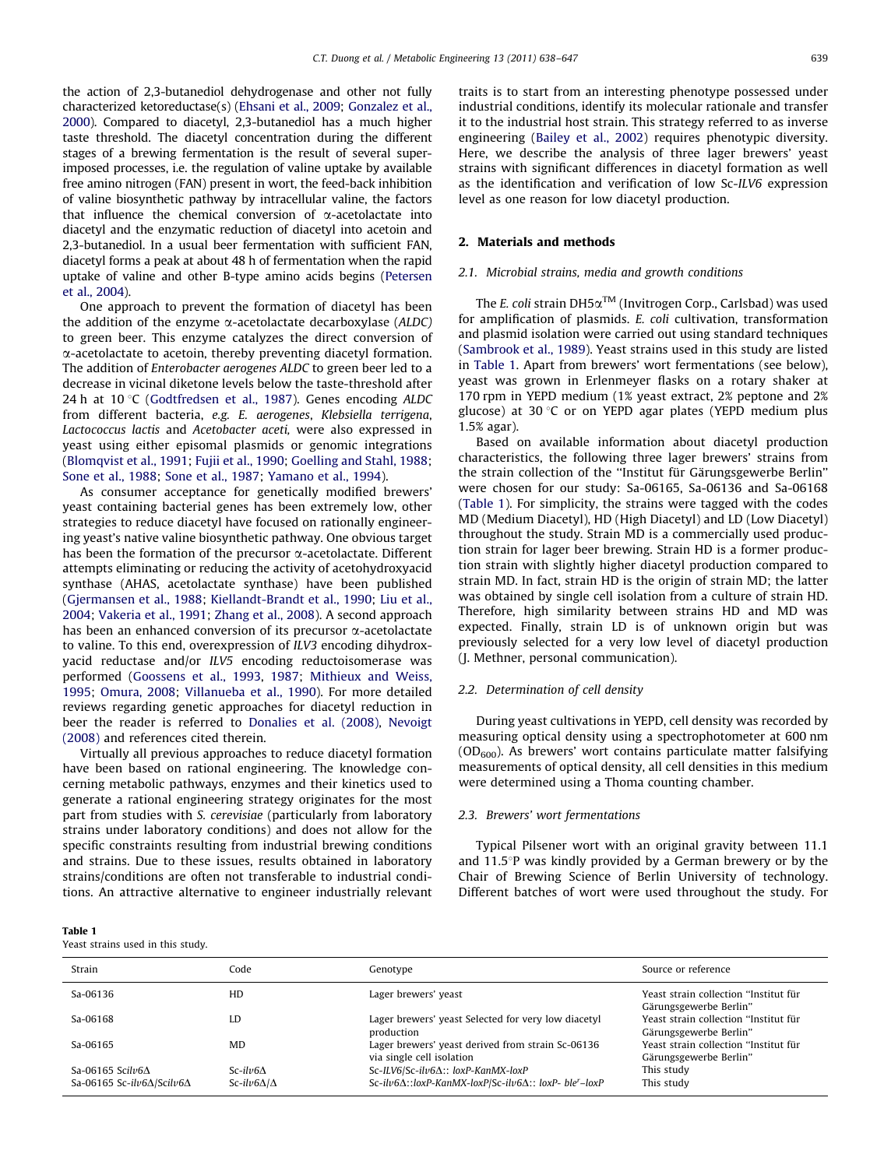<span id="page-1-0"></span>the action of 2,3-butanediol dehydrogenase and other not fully characterized ketoreductase(s) [\(Ehsani et al., 2009](#page-8-0); [Gonzalez et al.,](#page-8-0) [2000](#page-8-0)). Compared to diacetyl, 2,3-butanediol has a much higher taste threshold. The diacetyl concentration during the different stages of a brewing fermentation is the result of several superimposed processes, i.e. the regulation of valine uptake by available free amino nitrogen (FAN) present in wort, the feed-back inhibition of valine biosynthetic pathway by intracellular valine, the factors that influence the chemical conversion of  $\alpha$ -acetolactate into diacetyl and the enzymatic reduction of diacetyl into acetoin and 2,3-butanediol. In a usual beer fermentation with sufficient FAN, diacetyl forms a peak at about 48 h of fermentation when the rapid uptake of valine and other B-type amino acids begins ([Petersen](#page-9-0) [et al., 2004](#page-9-0)).

One approach to prevent the formation of diacetyl has been the addition of the enzyme  $\alpha$ -acetolactate decarboxylase (ALDC) to green beer. This enzyme catalyzes the direct conversion of a-acetolactate to acetoin, thereby preventing diacetyl formation. The addition of Enterobacter aerogenes ALDC to green beer led to a decrease in vicinal diketone levels below the taste-threshold after 24 h at 10 °C ([Godtfredsen et al., 1987\)](#page-8-0). Genes encoding  $ALDC$ from different bacteria, e.g. E. aerogenes, Klebsiella terrigena, Lactococcus lactis and Acetobacter aceti, were also expressed in yeast using either episomal plasmids or genomic integrations ([Blomqvist et al., 1991;](#page-8-0) [Fujii et al., 1990;](#page-8-0) [Goelling and Stahl, 1988;](#page-8-0) [Sone et al., 1988;](#page-9-0) [Sone et al., 1987](#page-9-0); [Yamano et al., 1994\)](#page-9-0).

As consumer acceptance for genetically modified brewers' yeast containing bacterial genes has been extremely low, other strategies to reduce diacetyl have focused on rationally engineering yeast's native valine biosynthetic pathway. One obvious target has been the formation of the precursor  $\alpha$ -acetolactate. Different attempts eliminating or reducing the activity of acetohydroxyacid synthase (AHAS, acetolactate synthase) have been published ([Gjermansen et al., 1988](#page-8-0); [Kiellandt-Brandt et al., 1990;](#page-9-0) [Liu et al.,](#page-9-0) [2004;](#page-9-0) [Vakeria et al., 1991;](#page-9-0) [Zhang et al., 2008\)](#page-9-0). A second approach has been an enhanced conversion of its precursor  $\alpha$ -acetolactate to valine. To this end, overexpression of ILV3 encoding dihydroxyacid reductase and/or ILV5 encoding reductoisomerase was performed [\(Goossens et al., 1993](#page-8-0), [1987](#page-8-0); [Mithieux and Weiss,](#page-9-0) [1995;](#page-9-0) [Omura, 2008](#page-9-0); [Villanueba et al., 1990\)](#page-9-0). For more detailed reviews regarding genetic approaches for diacetyl reduction in beer the reader is referred to [Donalies et al. \(2008\)](#page-8-0), [Nevoigt](#page-9-0) [\(2008\)](#page-9-0) and references cited therein.

Virtually all previous approaches to reduce diacetyl formation have been based on rational engineering. The knowledge concerning metabolic pathways, enzymes and their kinetics used to generate a rational engineering strategy originates for the most part from studies with S. cerevisiae (particularly from laboratory strains under laboratory conditions) and does not allow for the specific constraints resulting from industrial brewing conditions and strains. Due to these issues, results obtained in laboratory strains/conditions are often not transferable to industrial conditions. An attractive alternative to engineer industrially relevant traits is to start from an interesting phenotype possessed under industrial conditions, identify its molecular rationale and transfer it to the industrial host strain. This strategy referred to as inverse engineering [\(Bailey et al., 2002](#page-8-0)) requires phenotypic diversity. Here, we describe the analysis of three lager brewers' yeast strains with significant differences in diacetyl formation as well as the identification and verification of low Sc-ILV6 expression level as one reason for low diacetyl production.

## 2. Materials and methods

## 2.1. Microbial strains, media and growth conditions

The E. coli strain DH5 $\alpha^{TM}$  (Invitrogen Corp., Carlsbad) was used for amplification of plasmids. E. coli cultivation, transformation and plasmid isolation were carried out using standard techniques ([Sambrook et al., 1989\)](#page-9-0). Yeast strains used in this study are listed in Table 1. Apart from brewers' wort fermentations (see below), yeast was grown in Erlenmeyer flasks on a rotary shaker at 170 rpm in YEPD medium (1% yeast extract, 2% peptone and 2% glucose) at 30 $\degree$ C or on YEPD agar plates (YEPD medium plus 1.5% agar).

Based on available information about diacetyl production characteristics, the following three lager brewers' strains from the strain collection of the "Institut für Gärungsgewerbe Berlin" were chosen for our study: Sa-06165, Sa-06136 and Sa-06168 (Table 1). For simplicity, the strains were tagged with the codes MD (Medium Diacetyl), HD (High Diacetyl) and LD (Low Diacetyl) throughout the study. Strain MD is a commercially used production strain for lager beer brewing. Strain HD is a former production strain with slightly higher diacetyl production compared to strain MD. In fact, strain HD is the origin of strain MD; the latter was obtained by single cell isolation from a culture of strain HD. Therefore, high similarity between strains HD and MD was expected. Finally, strain LD is of unknown origin but was previously selected for a very low level of diacetyl production (J. Methner, personal communication).

## 2.2. Determination of cell density

During yeast cultivations in YEPD, cell density was recorded by measuring optical density using a spectrophotometer at 600 nm  $(OD<sub>600</sub>)$ . As brewers' wort contains particulate matter falsifying measurements of optical density, all cell densities in this medium were determined using a Thoma counting chamber.

#### 2.3. Brewers' wort fermentations

Typical Pilsener wort with an original gravity between 11.1 and  $11.5^{\circ}$ P was kindly provided by a German brewery or by the Chair of Brewing Science of Berlin University of technology. Different batches of wort were used throughout the study. For

Table 1

Yeast strains used in this study.

| Strain                                     | Code                    | Genotype                                                                            | Source or reference                                             |
|--------------------------------------------|-------------------------|-------------------------------------------------------------------------------------|-----------------------------------------------------------------|
| Sa-06136                                   | HD                      | Lager brewers' yeast                                                                | Yeast strain collection "Institut für<br>Gärungsgewerbe Berlin" |
| Sa-06168                                   | LD                      | Lager brewers' yeast Selected for very low diacetyl<br>production                   | Yeast strain collection "Institut für<br>Gärungsgewerbe Berlin" |
| Sa-06165                                   | <b>MD</b>               | Lager brewers' yeast derived from strain Sc-06136<br>via single cell isolation      | Yeast strain collection "Institut für<br>Gärungsgewerbe Berlin" |
| Sa-06165 Scilv6 $\Lambda$                  | $Sc-il\nu 6\Lambda$     | Sc-ILV6/Sc-ilv6 $\Delta$ :: loxP-KanMX-loxP                                         | This study                                                      |
| Sa-06165 Sc-ilv6 $\Delta$ /Scilv6 $\Delta$ | Sc-ilv $6\Delta/\Delta$ | Sc-ilv6 $\Delta$ ::loxP-KanMX-loxP/Sc-ilv6 $\Delta$ :: loxP- ble <sup>r</sup> -loxP | This study                                                      |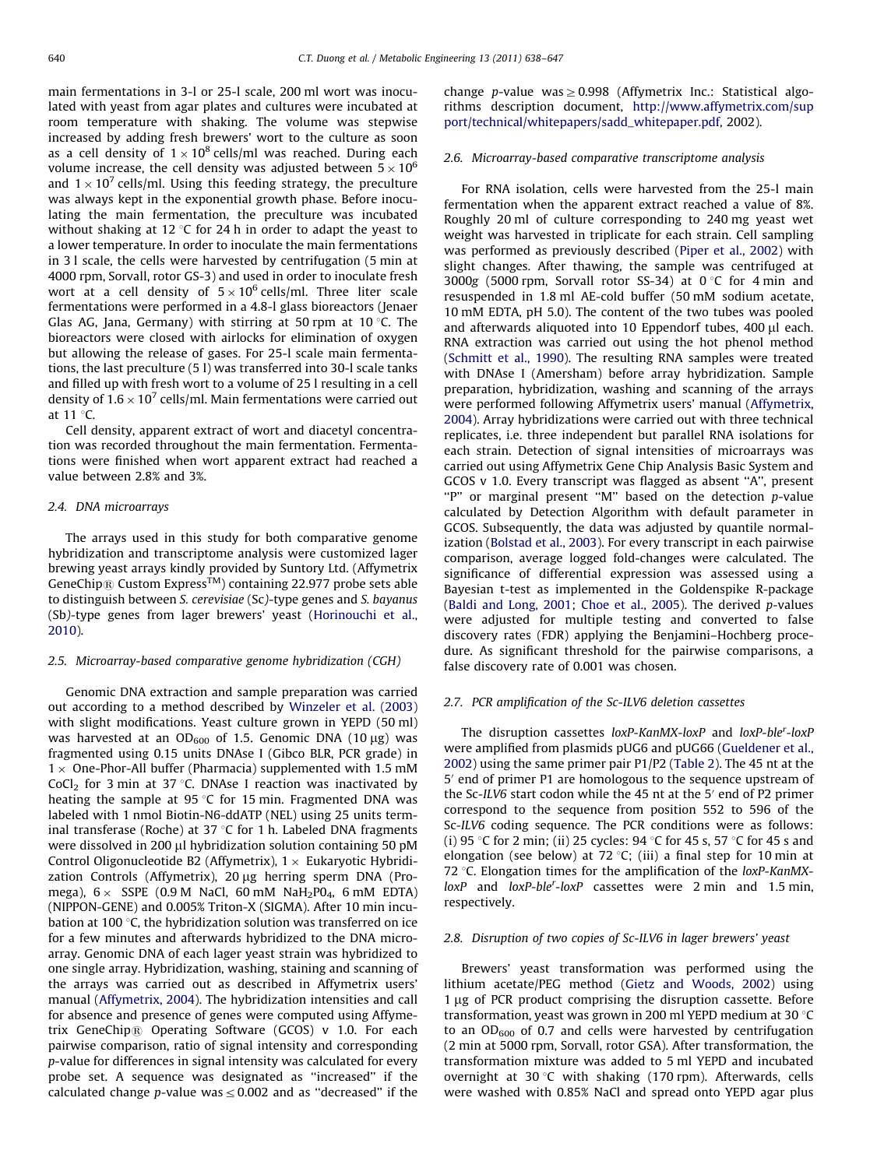main fermentations in 3-l or 25-l scale, 200 ml wort was inoculated with yeast from agar plates and cultures were incubated at room temperature with shaking. The volume was stepwise increased by adding fresh brewers' wort to the culture as soon as a cell density of  $1 \times 10^8$  cells/ml was reached. During each volume increase, the cell density was adjusted between 5  $\times\,10^6$ and  $1 \times 10^7$  cells/ml. Using this feeding strategy, the preculture was always kept in the exponential growth phase. Before inoculating the main fermentation, the preculture was incubated without shaking at 12 $\degree$ C for 24 h in order to adapt the yeast to a lower temperature. In order to inoculate the main fermentations in 3 l scale, the cells were harvested by centrifugation (5 min at 4000 rpm, Sorvall, rotor GS-3) and used in order to inoculate fresh wort at a cell density of  $5\times 10^6$  cells/ml. Three liter scale fermentations were performed in a 4.8-l glass bioreactors (Jenaer Glas AG, Jana, Germany) with stirring at 50 rpm at 10  $\degree$ C. The bioreactors were closed with airlocks for elimination of oxygen but allowing the release of gases. For 25-l scale main fermentations, the last preculture (5 l) was transferred into 30-l scale tanks and filled up with fresh wort to a volume of 25 l resulting in a cell density of 1.6  $\times$  10<sup>7</sup> cells/ml. Main fermentations were carried out at  $11^{\circ}$ C.

Cell density, apparent extract of wort and diacetyl concentration was recorded throughout the main fermentation. Fermentations were finished when wort apparent extract had reached a value between 2.8% and 3%.

#### 2.4. DNA microarrays

The arrays used in this study for both comparative genome hybridization and transcriptome analysis were customized lager brewing yeast arrays kindly provided by Suntory Ltd. (Affymetrix GeneChip<sup>®</sup> Custom Express<sup>TM</sup>) containing 22.977 probe sets able to distinguish between S. cerevisiae (Sc)-type genes and S. bayanus (Sb)-type genes from lager brewers' yeast ([Horinouchi et al.,](#page-9-0) [2010\)](#page-9-0).

#### 2.5. Microarray-based comparative genome hybridization (CGH)

Genomic DNA extraction and sample preparation was carried out according to a method described by [Winzeler et al. \(2003\)](#page-9-0) with slight modifications. Yeast culture grown in YEPD (50 ml) was harvested at an  $OD_{600}$  of 1.5. Genomic DNA (10 µg) was fragmented using 0.15 units DNAse I (Gibco BLR, PCR grade) in  $1 \times$  One-Phor-All buffer (Pharmacia) supplemented with 1.5 mM CoCl<sub>2</sub> for 3 min at 37 °C. DNAse I reaction was inactivated by heating the sample at 95  $\degree$ C for 15 min. Fragmented DNA was labeled with 1 nmol Biotin-N6-ddATP (NEL) using 25 units terminal transferase (Roche) at 37  $\degree$ C for 1 h. Labeled DNA fragments were dissolved in 200 µl hybridization solution containing 50 pM Control Oligonucleotide B2 (Affymetrix),  $1 \times$  Eukaryotic Hybridization Controls (Affymetrix), 20 µg herring sperm DNA (Promega),  $6\times$  SSPE (0.9 M NaCl, 60 mM NaH $_2$ P0 $_4$ , 6 mM EDTA) (NIPPON-GENE) and 0.005% Triton-X (SIGMA). After 10 min incubation at 100 $\degree$ C, the hybridization solution was transferred on ice for a few minutes and afterwards hybridized to the DNA microarray. Genomic DNA of each lager yeast strain was hybridized to one single array. Hybridization, washing, staining and scanning of the arrays was carried out as described in Affymetrix users' manual [\(Affymetrix, 2004](#page-8-0)). The hybridization intensities and call for absence and presence of genes were computed using Affymetrix GeneChip $\Re$  Operating Software (GCOS) v 1.0. For each pairwise comparison, ratio of signal intensity and corresponding p-value for differences in signal intensity was calculated for every probe set. A sequence was designated as ''increased'' if the calculated change p-value was  $\leq$  0.002 and as "decreased" if the

change p-value was  $\geq$  0.998 (Affymetrix Inc.: Statistical algorithms description document, [http://www.affymetrix.com/sup](http://www.affymetrix.com/support/technical/whitepapers/sadd_whitepaper.pdf) [port/technical/whitepapers/sadd\\_whitepaper.pdf](http://www.affymetrix.com/support/technical/whitepapers/sadd_whitepaper.pdf), 2002).

#### 2.6. Microarray-based comparative transcriptome analysis

For RNA isolation, cells were harvested from the 25-l main fermentation when the apparent extract reached a value of 8%. Roughly 20 ml of culture corresponding to 240 mg yeast wet weight was harvested in triplicate for each strain. Cell sampling was performed as previously described ([Piper et al., 2002\)](#page-9-0) with slight changes. After thawing, the sample was centrifuged at 3000g (5000 rpm, Sorvall rotor SS-34) at  $0^{\circ}$ C for 4 min and resuspended in 1.8 ml AE-cold buffer (50 mM sodium acetate, 10 mM EDTA, pH 5.0). The content of the two tubes was pooled and afterwards aliquoted into 10 Eppendorf tubes,  $400 \mu l$  each. RNA extraction was carried out using the hot phenol method ([Schmitt et al., 1990](#page-9-0)). The resulting RNA samples were treated with DNAse I (Amersham) before array hybridization. Sample preparation, hybridization, washing and scanning of the arrays were performed following Affymetrix users' manual ([Affymetrix,](#page-8-0) [2004\)](#page-8-0). Array hybridizations were carried out with three technical replicates, i.e. three independent but parallel RNA isolations for each strain. Detection of signal intensities of microarrays was carried out using Affymetrix Gene Chip Analysis Basic System and GCOS v 1.0. Every transcript was flagged as absent ''A'', present "P" or marginal present "M" based on the detection p-value calculated by Detection Algorithm with default parameter in GCOS. Subsequently, the data was adjusted by quantile normalization [\(Bolstad et al., 2003\)](#page-8-0). For every transcript in each pairwise comparison, average logged fold-changes were calculated. The significance of differential expression was assessed using a Bayesian t-test as implemented in the Goldenspike R-package ([Baldi and Long, 2001](#page-8-0); [Choe et al., 2005\)](#page-8-0). The derived p-values were adjusted for multiple testing and converted to false discovery rates (FDR) applying the Benjamini–Hochberg procedure. As significant threshold for the pairwise comparisons, a false discovery rate of 0.001 was chosen.

### 2.7. PCR amplification of the Sc-ILV6 deletion cassettes

The disruption cassettes loxP-KanMX-loxP and loxP-ble<sup>r</sup>-loxF were amplified from plasmids pUG6 and pUG66 ([Gueldener et al.,](#page-8-0) [2002\)](#page-8-0) using the same primer pair P1/P2 [\(Table 2\)](#page-3-0). The 45 nt at the 5' end of primer P1 are homologous to the sequence upstream of the Sc-ILV6 start codon while the 45 nt at the  $5'$  end of P2 primer correspond to the sequence from position 552 to 596 of the Sc-ILV6 coding sequence. The PCR conditions were as follows: (i) 95 °C for 2 min; (ii) 25 cycles: 94 °C for 45 s, 57 °C for 45 s and elongation (see below) at 72 °C; (iii) a final step for 10 min at 72  $\degree$ C. Elongation times for the amplification of the loxP-KanMXloxP and loxP-ble<sup>r</sup>-loxP cassettes were 2 min and 1.5 min, respectively.

#### 2.8. Disruption of two copies of Sc-ILV6 in lager brewers' yeast

Brewers' yeast transformation was performed using the lithium acetate/PEG method [\(Gietz and Woods, 2002](#page-8-0)) using  $1 \mu$ g of PCR product comprising the disruption cassette. Before transformation, yeast was grown in 200 ml YEPD medium at 30  $\degree$ C to an  $OD_{600}$  of 0.7 and cells were harvested by centrifugation (2 min at 5000 rpm, Sorvall, rotor GSA). After transformation, the transformation mixture was added to 5 ml YEPD and incubated overnight at 30 °C with shaking (170 rpm). Afterwards, cells were washed with 0.85% NaCl and spread onto YEPD agar plus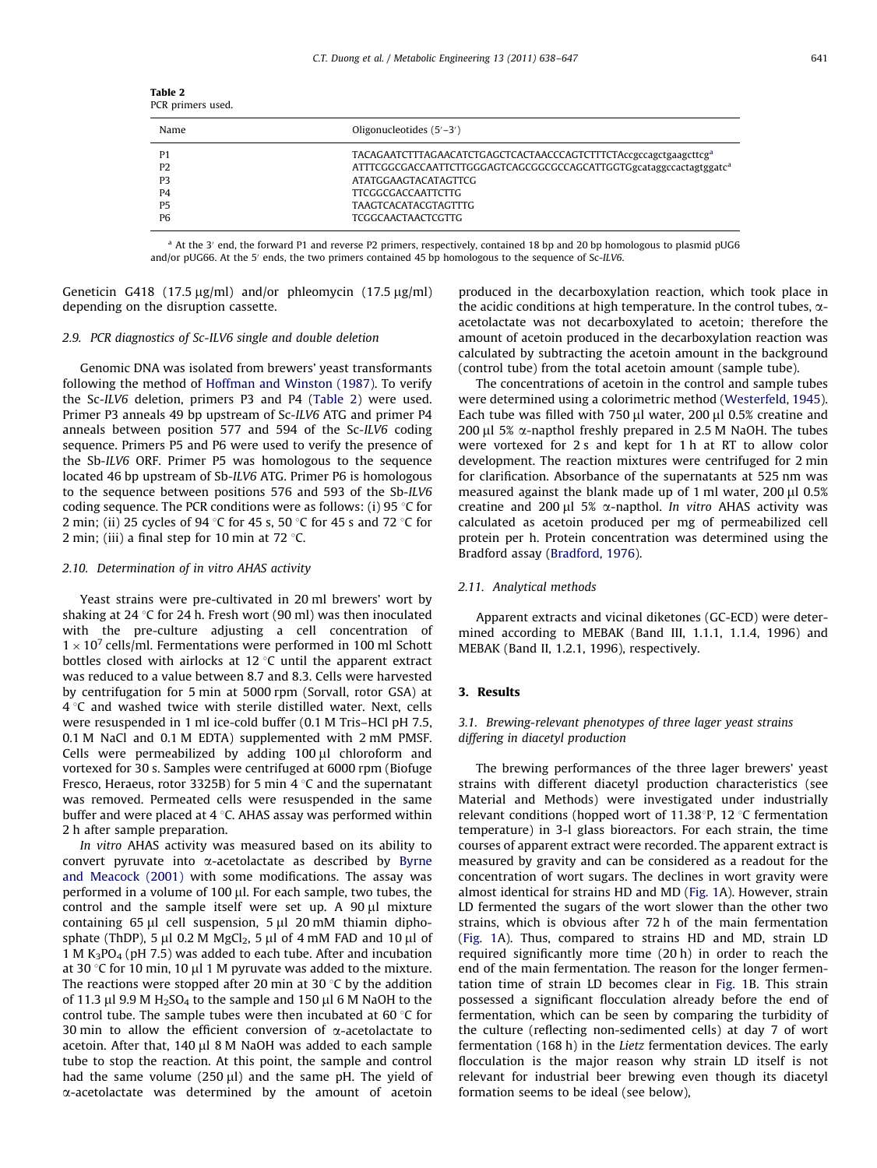<span id="page-3-0"></span>

| Table 2<br>PCR primers used. |                                                                              |  |
|------------------------------|------------------------------------------------------------------------------|--|
| Name                         | Oligonucleotides $(5'-3')$                                                   |  |
| P <sub>1</sub>               | TACAGAATCTTTAGAACATCTGAGCTCACTAACCCAGTCTTTCTAccgccagctgaagcttcg <sup>a</sup> |  |
| P <sub>2</sub>               | ATTTCGGCGACCAATTCTTGGGAGTCAGCGGCCAGCATTGGTGgcataggccactagtggatc <sup>a</sup> |  |
| P <sub>3</sub>               | <b>ATATGGAAGTACATAGTTCG</b>                                                  |  |
| <b>P4</b>                    | <b>TTCGGCGACCAATTCTTG</b>                                                    |  |
| <b>P5</b>                    | <b>TAAGTCACATACGTAGTTTG</b>                                                  |  |
| P6                           | <b>TCGGCAACTAACTCGTTG</b>                                                    |  |

<sup>a</sup> At the 3' end, the forward P1 and reverse P2 primers, respectively, contained 18 bp and 20 bp homologous to plasmid pUG6 and/or pUG66. At the 5<sup>'</sup> ends, the two primers contained 45 bp homologous to the sequence of Sc-ILV6.

Geneticin G418 (17.5  $\mu$ g/ml) and/or phleomycin (17.5  $\mu$ g/ml) depending on the disruption cassette.

## 2.9. PCR diagnostics of Sc-ILV6 single and double deletion

Genomic DNA was isolated from brewers' yeast transformants following the method of [Hoffman and Winston \(1987\)](#page-9-0). To verify the Sc-ILV6 deletion, primers P3 and P4 (Table 2) were used. Primer P3 anneals 49 bp upstream of Sc-ILV6 ATG and primer P4 anneals between position 577 and 594 of the Sc-ILV6 coding sequence. Primers P5 and P6 were used to verify the presence of the Sb-ILV6 ORF. Primer P5 was homologous to the sequence located 46 bp upstream of Sb-ILV6 ATG. Primer P6 is homologous to the sequence between positions 576 and 593 of the Sb-ILV6 coding sequence. The PCR conditions were as follows: (i) 95  $\degree$ C for 2 min; (ii) 25 cycles of 94 °C for 45 s, 50 °C for 45 s and 72 °C for 2 min; (iii) a final step for 10 min at 72 $\degree$ C.

## 2.10. Determination of in vitro AHAS activity

Yeast strains were pre-cultivated in 20 ml brewers' wort by shaking at 24 °C for 24 h. Fresh wort (90 ml) was then inoculated with the pre-culture adjusting a cell concentration of  $1 \times 10^7$  cells/ml. Fermentations were performed in 100 ml Schott bottles closed with airlocks at 12  $\degree$ C until the apparent extract was reduced to a value between 8.7 and 8.3. Cells were harvested by centrifugation for 5 min at 5000 rpm (Sorvall, rotor GSA) at  $4^{\circ}$ C and washed twice with sterile distilled water. Next, cells were resuspended in 1 ml ice-cold buffer (0.1 M Tris–HCl pH 7.5, 0.1 M NaCl and 0.1 M EDTA) supplemented with 2 mM PMSF. Cells were permeabilized by adding  $100 \mu l$  chloroform and vortexed for 30 s. Samples were centrifuged at 6000 rpm (Biofuge Fresco, Heraeus, rotor 3325B) for 5 min 4  $\degree$ C and the supernatant was removed. Permeated cells were resuspended in the same buffer and were placed at  $4^{\circ}$ C. AHAS assay was performed within 2 h after sample preparation.

In vitro AHAS activity was measured based on its ability to convert pyruvate into  $\alpha$ -acetolactate as described by [Byrne](#page-8-0) [and Meacock \(2001\)](#page-8-0) with some modifications. The assay was performed in a volume of 100  $\mu$ l. For each sample, two tubes, the control and the sample itself were set up. A  $90 \mu l$  mixture containing  $65 \mu l$  cell suspension,  $5 \mu l$  20 mM thiamin diphosphate (ThDP), 5  $\mu$ l 0.2 M MgCl<sub>2</sub>, 5  $\mu$ l of 4 mM FAD and 10  $\mu$ l of 1 M  $K_3PO_4$  (pH 7.5) was added to each tube. After and incubation at 30 °C for 10 min, 10  $\mu$ l 1 M pyruvate was added to the mixture. The reactions were stopped after 20 min at 30  $\degree$ C by the addition of 11.3  $\mu$ l 9.9 M H<sub>2</sub>SO<sub>4</sub> to the sample and 150  $\mu$ l 6 M NaOH to the control tube. The sample tubes were then incubated at 60 $\degree$ C for 30 min to allow the efficient conversion of  $\alpha$ -acetolactate to acetoin. After that,  $140 \mu$ l 8 M NaOH was added to each sample tube to stop the reaction. At this point, the sample and control had the same volume  $(250 \,\mu\text{J})$  and the same pH. The yield of a-acetolactate was determined by the amount of acetoin produced in the decarboxylation reaction, which took place in the acidic conditions at high temperature. In the control tubes,  $\alpha$ acetolactate was not decarboxylated to acetoin; therefore the amount of acetoin produced in the decarboxylation reaction was calculated by subtracting the acetoin amount in the background (control tube) from the total acetoin amount (sample tube).

The concentrations of acetoin in the control and sample tubes were determined using a colorimetric method [\(Westerfeld, 1945\)](#page-9-0). Each tube was filled with 750  $\mu$ l water, 200  $\mu$ l 0.5% creatine and 200 µl 5%  $\alpha$ -napthol freshly prepared in 2.5 M NaOH. The tubes were vortexed for 2 s and kept for 1 h at RT to allow color development. The reaction mixtures were centrifuged for 2 min for clarification. Absorbance of the supernatants at 525 nm was measured against the blank made up of 1 ml water, 200  $\mu$ l 0.5% creatine and 200  $\mu$ l 5%  $\alpha$ -napthol. In vitro AHAS activity was calculated as acetoin produced per mg of permeabilized cell protein per h. Protein concentration was determined using the Bradford assay [\(Bradford, 1976](#page-8-0)).

## 2.11. Analytical methods

Apparent extracts and vicinal diketones (GC-ECD) were determined according to MEBAK (Band III, 1.1.1, 1.1.4, 1996) and MEBAK (Band II, 1.2.1, 1996), respectively.

#### 3. Results

## 3.1. Brewing-relevant phenotypes of three lager yeast strains differing in diacetyl production

The brewing performances of the three lager brewers' yeast strains with different diacetyl production characteristics (see Material and Methods) were investigated under industrially relevant conditions (hopped wort of 11.38 $\degree$ P, 12  $\degree$ C fermentation temperature) in 3-l glass bioreactors. For each strain, the time courses of apparent extract were recorded. The apparent extract is measured by gravity and can be considered as a readout for the concentration of wort sugars. The declines in wort gravity were almost identical for strains HD and MD [\(Fig. 1A](#page-4-0)). However, strain LD fermented the sugars of the wort slower than the other two strains, which is obvious after 72 h of the main fermentation ([Fig. 1](#page-4-0)A). Thus, compared to strains HD and MD, strain LD required significantly more time (20 h) in order to reach the end of the main fermentation. The reason for the longer fermentation time of strain LD becomes clear in [Fig. 1B](#page-4-0). This strain possessed a significant flocculation already before the end of fermentation, which can be seen by comparing the turbidity of the culture (reflecting non-sedimented cells) at day 7 of wort fermentation (168 h) in the Lietz fermentation devices. The early flocculation is the major reason why strain LD itself is not relevant for industrial beer brewing even though its diacetyl formation seems to be ideal (see below),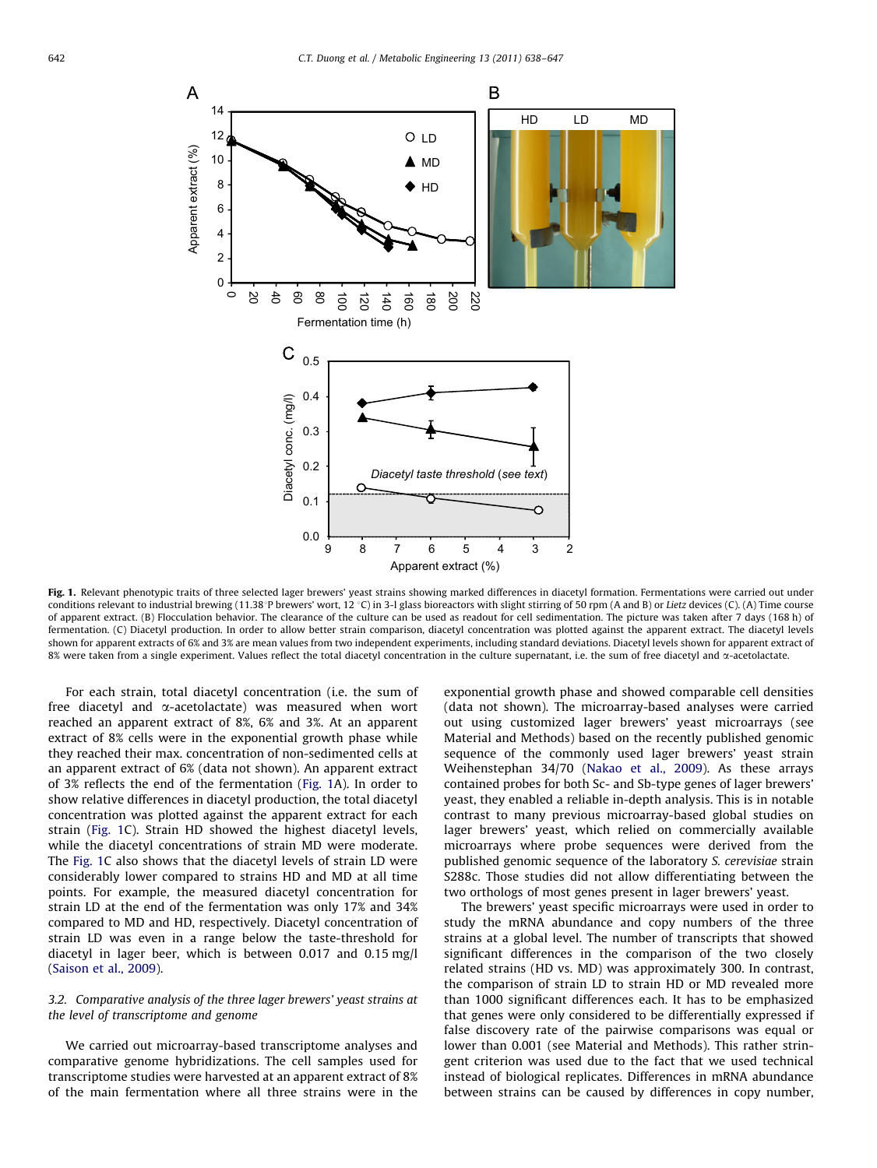<span id="page-4-0"></span>

Fig. 1. Relevant phenotypic traits of three selected lager brewers' yeast strains showing marked differences in diacetyl formation. Fermentations were carried out under conditions relevant to industrial brewing (11.38°P brewers' wort, 12 °C) in 3-l glass bioreactors with slight stirring of 50 rpm (A and B) or Lietz devices (C). (A) Time course of apparent extract. (B) Flocculation behavior. The clearance of the culture can be used as readout for cell sedimentation. The picture was taken after 7 days (168 h) of fermentation. (C) Diacetyl production. In order to allow better strain comparison, diacetyl concentration was plotted against the apparent extract. The diacetyl levels shown for apparent extracts of 6% and 3% are mean values from two independent experiments, including standard deviations. Diacetyl levels shown for apparent extract of 8% were taken from a single experiment. Values reflect the total diacetyl concentration in the culture supernatant, i.e. the sum of free diacetyl and  $\alpha$ -acetolactate.

For each strain, total diacetyl concentration (i.e. the sum of free diacetyl and  $\alpha$ -acetolactate) was measured when wort reached an apparent extract of 8%, 6% and 3%. At an apparent extract of 8% cells were in the exponential growth phase while they reached their max. concentration of non-sedimented cells at an apparent extract of 6% (data not shown). An apparent extract of 3% reflects the end of the fermentation (Fig. 1A). In order to show relative differences in diacetyl production, the total diacetyl concentration was plotted against the apparent extract for each strain (Fig. 1C). Strain HD showed the highest diacetyl levels, while the diacetyl concentrations of strain MD were moderate. The Fig. 1C also shows that the diacetyl levels of strain LD were considerably lower compared to strains HD and MD at all time points. For example, the measured diacetyl concentration for strain LD at the end of the fermentation was only 17% and 34% compared to MD and HD, respectively. Diacetyl concentration of strain LD was even in a range below the taste-threshold for diacetyl in lager beer, which is between 0.017 and 0.15 mg/l ([Saison et al., 2009\)](#page-9-0).

## 3.2. Comparative analysis of the three lager brewers' yeast strains at the level of transcriptome and genome

We carried out microarray-based transcriptome analyses and comparative genome hybridizations. The cell samples used for transcriptome studies were harvested at an apparent extract of 8% of the main fermentation where all three strains were in the exponential growth phase and showed comparable cell densities (data not shown). The microarray-based analyses were carried out using customized lager brewers' yeast microarrays (see Material and Methods) based on the recently published genomic sequence of the commonly used lager brewers' yeast strain Weihenstephan 34/70 ([Nakao et al., 2009](#page-9-0)). As these arrays contained probes for both Sc- and Sb-type genes of lager brewers' yeast, they enabled a reliable in-depth analysis. This is in notable contrast to many previous microarray-based global studies on lager brewers' yeast, which relied on commercially available microarrays where probe sequences were derived from the published genomic sequence of the laboratory S. cerevisiae strain S288c. Those studies did not allow differentiating between the two orthologs of most genes present in lager brewers' yeast.

The brewers' yeast specific microarrays were used in order to study the mRNA abundance and copy numbers of the three strains at a global level. The number of transcripts that showed significant differences in the comparison of the two closely related strains (HD vs. MD) was approximately 300. In contrast, the comparison of strain LD to strain HD or MD revealed more than 1000 significant differences each. It has to be emphasized that genes were only considered to be differentially expressed if false discovery rate of the pairwise comparisons was equal or lower than 0.001 (see Material and Methods). This rather stringent criterion was used due to the fact that we used technical instead of biological replicates. Differences in mRNA abundance between strains can be caused by differences in copy number,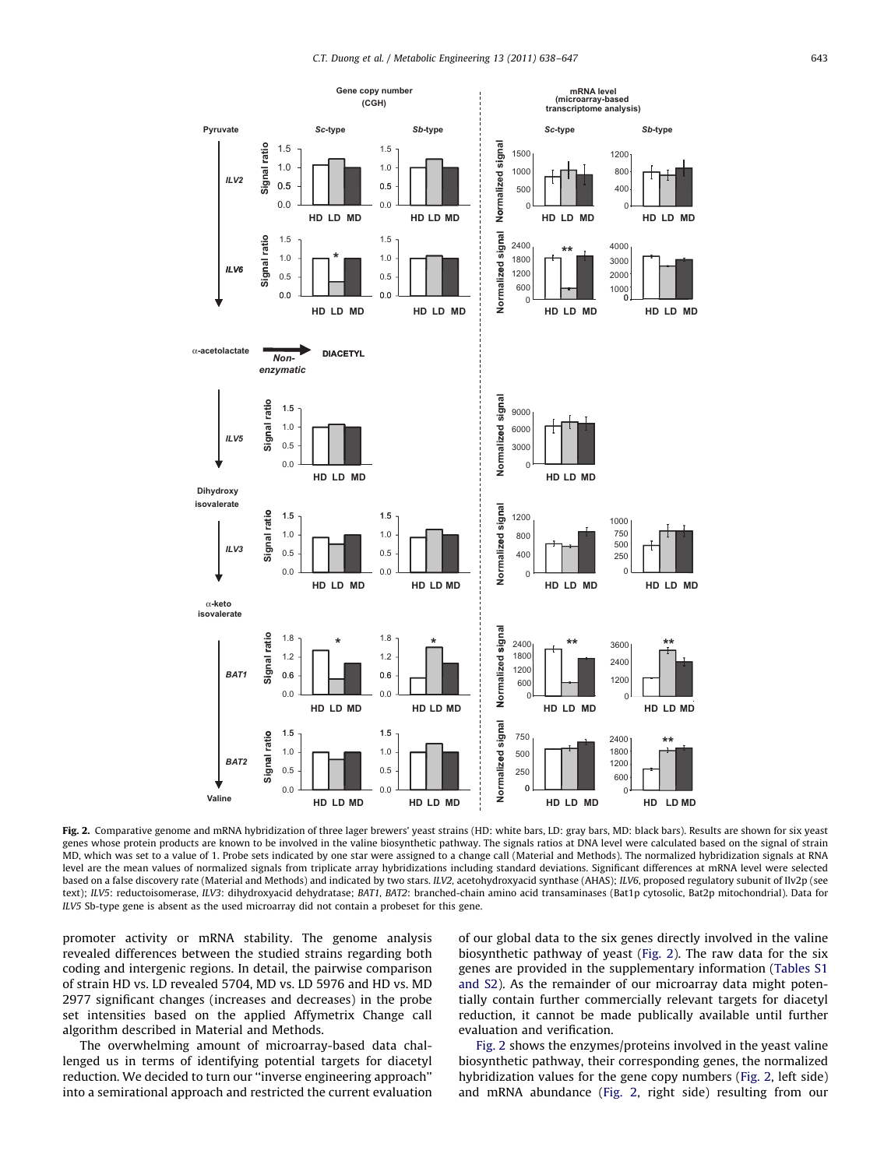<span id="page-5-0"></span>

Fig. 2. Comparative genome and mRNA hybridization of three lager brewers' yeast strains (HD: white bars, LD: gray bars, MD: black bars). Results are shown for six yeast genes whose protein products are known to be involved in the valine biosynthetic pathway. The signals ratios at DNA level were calculated based on the signal of strain MD, which was set to a value of 1. Probe sets indicated by one star were assigned to a change call (Material and Methods). The normalized hybridization signals at RNA level are the mean values of normalized signals from triplicate array hybridizations including standard deviations. Significant differences at mRNA level were selected based on a false discovery rate (Material and Methods) and indicated by two stars. ILV2, acetohydroxyacid synthase (AHAS); ILV6, proposed regulatory subunit of Ilv2p (see text); ILV5: reductoisomerase, ILV3: dihydroxyacid dehydratase; BAT1, BAT2: branched-chain amino acid transaminases (Bat1p cytosolic, Bat2p mitochondrial). Data for ILV5 Sb-type gene is absent as the used microarray did not contain a probeset for this gene.

promoter activity or mRNA stability. The genome analysis revealed differences between the studied strains regarding both coding and intergenic regions. In detail, the pairwise comparison of strain HD vs. LD revealed 5704, MD vs. LD 5976 and HD vs. MD 2977 significant changes (increases and decreases) in the probe set intensities based on the applied Affymetrix Change call algorithm described in Material and Methods.

The overwhelming amount of microarray-based data challenged us in terms of identifying potential targets for diacetyl reduction. We decided to turn our ''inverse engineering approach'' into a semirational approach and restricted the current evaluation of our global data to the six genes directly involved in the valine biosynthetic pathway of yeast (Fig. 2). The raw data for the six genes are provided in the supplementary information [\(Tables S1](#page-8-0) [and S2](#page-8-0)). As the remainder of our microarray data might potentially contain further commercially relevant targets for diacetyl reduction, it cannot be made publically available until further evaluation and verification.

Fig. 2 shows the enzymes/proteins involved in the yeast valine biosynthetic pathway, their corresponding genes, the normalized hybridization values for the gene copy numbers (Fig. 2, left side) and mRNA abundance (Fig. 2, right side) resulting from our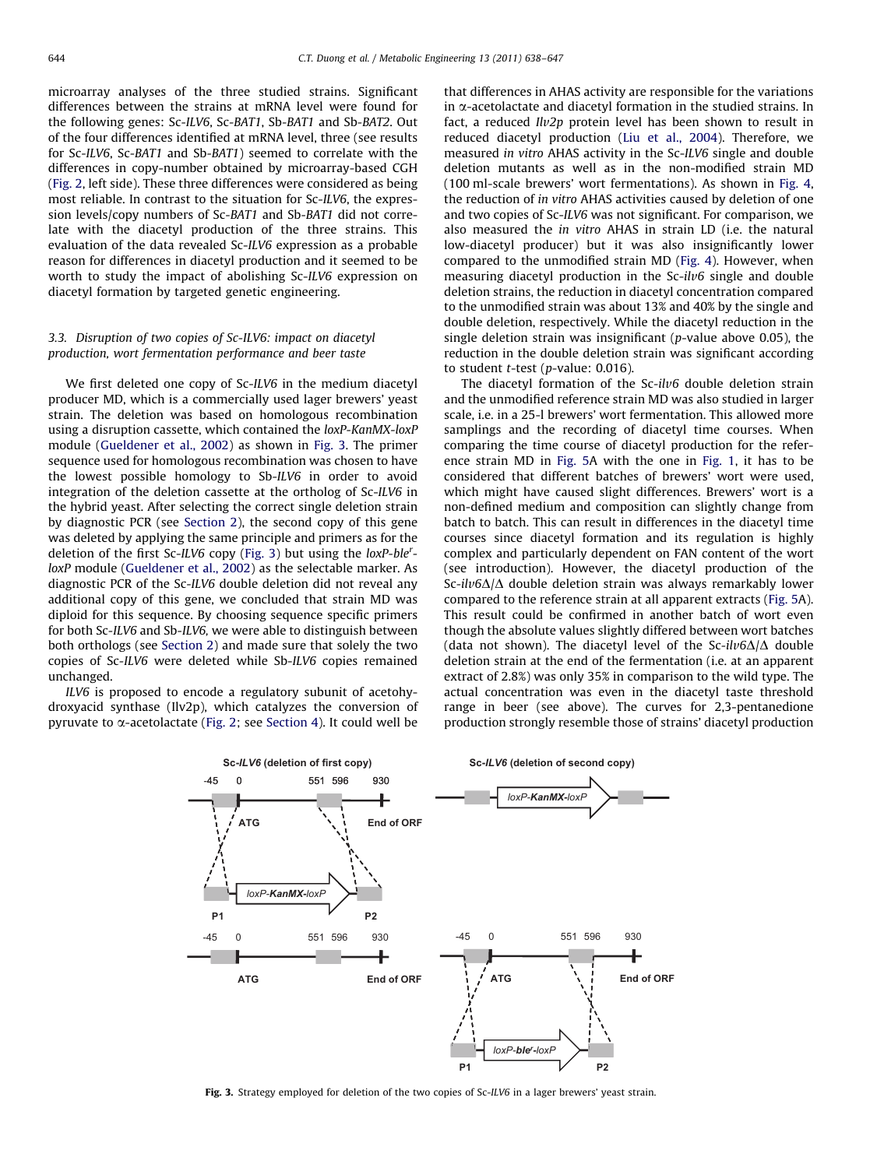microarray analyses of the three studied strains. Significant differences between the strains at mRNA level were found for the following genes: Sc-ILV6, Sc-BAT1, Sb-BAT1 and Sb-BAT2. Out of the four differences identified at mRNA level, three (see results for Sc-ILV6, Sc-BAT1 and Sb-BAT1) seemed to correlate with the differences in copy-number obtained by microarray-based CGH ([Fig. 2,](#page-5-0) left side). These three differences were considered as being most reliable. In contrast to the situation for Sc-ILV6, the expression levels/copy numbers of Sc-BAT1 and Sb-BAT1 did not correlate with the diacetyl production of the three strains. This evaluation of the data revealed Sc-ILV6 expression as a probable reason for differences in diacetyl production and it seemed to be worth to study the impact of abolishing Sc-ILV6 expression on diacetyl formation by targeted genetic engineering.

## 3.3. Disruption of two copies of Sc-ILV6: impact on diacetyl production, wort fermentation performance and beer taste

We first deleted one copy of Sc-ILV6 in the medium diacetyl producer MD, which is a commercially used lager brewers' yeast strain. The deletion was based on homologous recombination using a disruption cassette, which contained the loxP-KanMX-loxP module [\(Gueldener et al., 2002\)](#page-8-0) as shown in Fig. 3. The primer sequence used for homologous recombination was chosen to have the lowest possible homology to Sb-ILV6 in order to avoid integration of the deletion cassette at the ortholog of Sc-ILV6 in the hybrid yeast. After selecting the correct single deletion strain by diagnostic PCR (see [Section 2](#page-1-0)), the second copy of this gene was deleted by applying the same principle and primers as for the deletion of the first Sc-ILV6 copy (Fig. 3) but using the loxP-ble<sup>r</sup>loxP module [\(Gueldener et al., 2002](#page-8-0)) as the selectable marker. As diagnostic PCR of the Sc-ILV6 double deletion did not reveal any additional copy of this gene, we concluded that strain MD was diploid for this sequence. By choosing sequence specific primers for both Sc-ILV6 and Sb-ILV6, we were able to distinguish between both orthologs (see [Section 2](#page-1-0)) and made sure that solely the two copies of Sc-ILV6 were deleted while Sb-ILV6 copies remained unchanged.

ILV6 is proposed to encode a regulatory subunit of acetohydroxyacid synthase (Ilv2p), which catalyzes the conversion of pyruvate to  $\alpha$ -acetolactate [\(Fig. 2;](#page-5-0) see [Section 4](#page-7-0)). It could well be that differences in AHAS activity are responsible for the variations in  $\alpha$ -acetolactate and diacetyl formation in the studied strains. In fact, a reduced Ilv2p protein level has been shown to result in reduced diacetyl production [\(Liu et al., 2004\)](#page-9-0). Therefore, we measured in vitro AHAS activity in the Sc-ILV6 single and double deletion mutants as well as in the non-modified strain MD (100 ml-scale brewers' wort fermentations). As shown in [Fig. 4,](#page-7-0) the reduction of in vitro AHAS activities caused by deletion of one and two copies of Sc-ILV6 was not significant. For comparison, we also measured the in vitro AHAS in strain LD (i.e. the natural low-diacetyl producer) but it was also insignificantly lower compared to the unmodified strain MD [\(Fig. 4\)](#page-7-0). However, when measuring diacetyl production in the Sc-ilv6 single and double deletion strains, the reduction in diacetyl concentration compared to the unmodified strain was about 13% and 40% by the single and double deletion, respectively. While the diacetyl reduction in the single deletion strain was insignificant ( $p$ -value above 0.05), the reduction in the double deletion strain was significant according to student  $t$ -test (p-value: 0.016).

The diacetyl formation of the  $Sc-ilv6$  double deletion strain and the unmodified reference strain MD was also studied in larger scale, i.e. in a 25-l brewers' wort fermentation. This allowed more samplings and the recording of diacetyl time courses. When comparing the time course of diacetyl production for the reference strain MD in [Fig. 5](#page-7-0)A with the one in [Fig. 1](#page-4-0), it has to be considered that different batches of brewers' wort were used, which might have caused slight differences. Brewers' wort is a non-defined medium and composition can slightly change from batch to batch. This can result in differences in the diacetyl time courses since diacetyl formation and its regulation is highly complex and particularly dependent on FAN content of the wort (see introduction). However, the diacetyl production of the Sc-il $\nu$ 6 $\Delta/\Delta$  double deletion strain was always remarkably lower compared to the reference strain at all apparent extracts [\(Fig. 5](#page-7-0)A). This result could be confirmed in another batch of wort even though the absolute values slightly differed between wort batches (data not shown). The diacetyl level of the Sc-ilv6 $\Delta/\Delta$  double deletion strain at the end of the fermentation (i.e. at an apparent extract of 2.8%) was only 35% in comparison to the wild type. The actual concentration was even in the diacetyl taste threshold range in beer (see above). The curves for 2,3-pentanedione production strongly resemble those of strains' diacetyl production



Fig. 3. Strategy employed for deletion of the two copies of Sc-ILV6 in a lager brewers' yeast strain.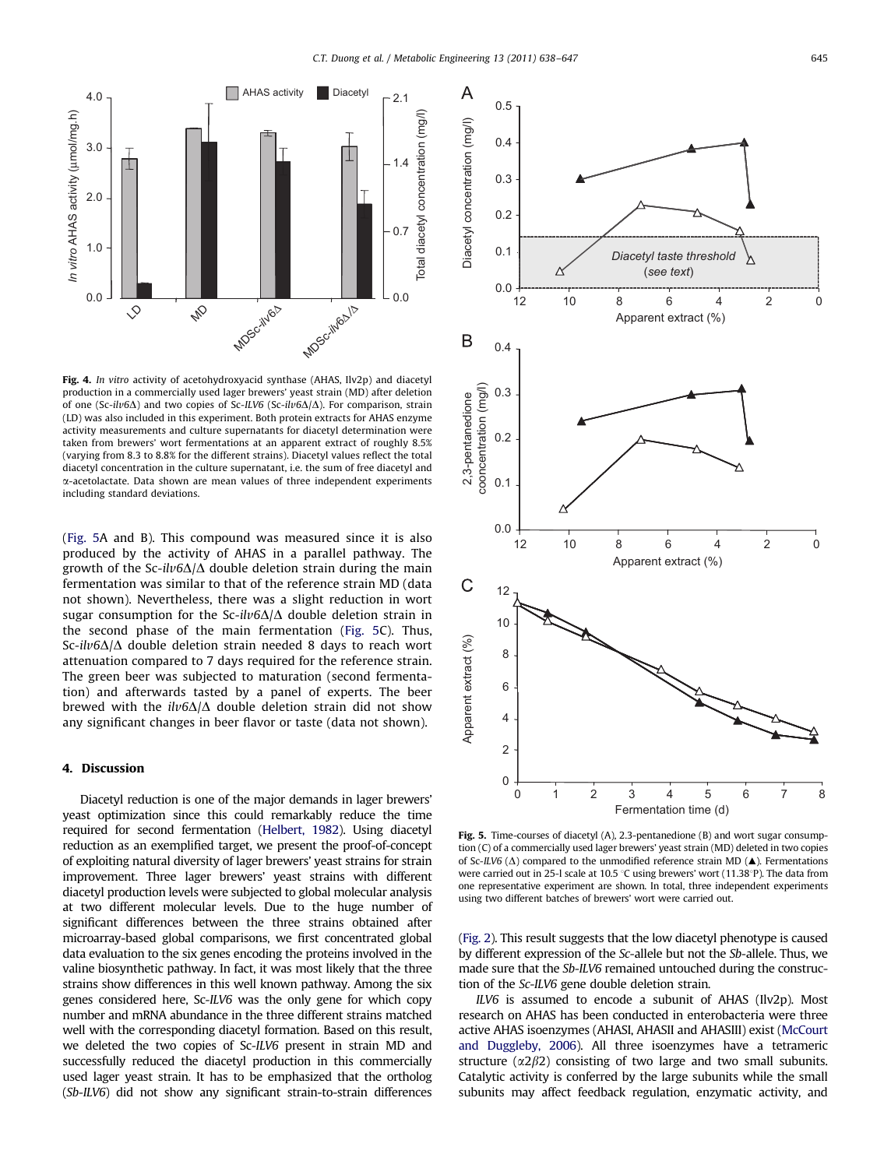<span id="page-7-0"></span>

Fig. 4. In vitro activity of acetohydroxyacid synthase (AHAS, Ilv2p) and diacetyl production in a commercially used lager brewers' yeast strain (MD) after deletion of one (Sc-ilv6 $\Delta$ ) and two copies of Sc-ILV6 (Sc-ilv6 $\Delta/\Delta$ ). For comparison, strain (LD) was also included in this experiment. Both protein extracts for AHAS enzyme activity measurements and culture supernatants for diacetyl determination were taken from brewers' wort fermentations at an apparent extract of roughly 8.5% (varying from 8.3 to 8.8% for the different strains). Diacetyl values reflect the total diacetyl concentration in the culture supernatant, i.e. the sum of free diacetyl and  $\alpha$ -acetolactate. Data shown are mean values of three independent experiments including standard deviations.

(Fig. 5A and B). This compound was measured since it is also produced by the activity of AHAS in a parallel pathway. The growth of the Sc-ilv6 $\Delta/\Delta$  double deletion strain during the main fermentation was similar to that of the reference strain MD (data not shown). Nevertheless, there was a slight reduction in wort sugar consumption for the Sc-ilv6 $\Delta/\Delta$  double deletion strain in the second phase of the main fermentation (Fig. 5C). Thus, Sc-ilv6 $\Delta/\Delta$  double deletion strain needed 8 days to reach wort attenuation compared to 7 days required for the reference strain. The green beer was subjected to maturation (second fermentation) and afterwards tasted by a panel of experts. The beer brewed with the  $il\nu 6\Delta/\Delta$  double deletion strain did not show any significant changes in beer flavor or taste (data not shown).

## 4. Discussion

Diacetyl reduction is one of the major demands in lager brewers' yeast optimization since this could remarkably reduce the time required for second fermentation [\(Helbert, 1982](#page-8-0)). Using diacetyl reduction as an exemplified target, we present the proof-of-concept of exploiting natural diversity of lager brewers' yeast strains for strain improvement. Three lager brewers' yeast strains with different diacetyl production levels were subjected to global molecular analysis at two different molecular levels. Due to the huge number of significant differences between the three strains obtained after microarray-based global comparisons, we first concentrated global data evaluation to the six genes encoding the proteins involved in the valine biosynthetic pathway. In fact, it was most likely that the three strains show differences in this well known pathway. Among the six genes considered here, Sc-ILV6 was the only gene for which copy number and mRNA abundance in the three different strains matched well with the corresponding diacetyl formation. Based on this result, we deleted the two copies of Sc-ILV6 present in strain MD and successfully reduced the diacetyl production in this commercially used lager yeast strain. It has to be emphasized that the ortholog (Sb-ILV6) did not show any significant strain-to-strain differences



Fig. 5. Time-courses of diacetyl (A), 2.3-pentanedione (B) and wort sugar consumption (C) of a commercially used lager brewers' yeast strain (MD) deleted in two copies of Sc-ILV6 ( $\Delta$ ) compared to the unmodified reference strain MD ( $\blacktriangle$ ). Fermentations were carried out in 25-l scale at 10.5 °C using brewers' wort (11.38°P). The data from one representative experiment are shown. In total, three independent experiments using two different batches of brewers' wort were carried out.

[\(Fig. 2](#page-5-0)). This result suggests that the low diacetyl phenotype is caused by different expression of the Sc-allele but not the Sb-allele. Thus, we made sure that the Sb-ILV6 remained untouched during the construction of the Sc-ILV6 gene double deletion strain.

ILV6 is assumed to encode a subunit of AHAS (Ilv2p). Most research on AHAS has been conducted in enterobacteria were three active AHAS isoenzymes (AHASI, AHASII and AHASIII) exist [\(McCourt](#page-9-0) [and Duggleby, 2006](#page-9-0)). All three isoenzymes have a tetrameric structure  $(\alpha 2\beta 2)$  consisting of two large and two small subunits. Catalytic activity is conferred by the large subunits while the small subunits may affect feedback regulation, enzymatic activity, and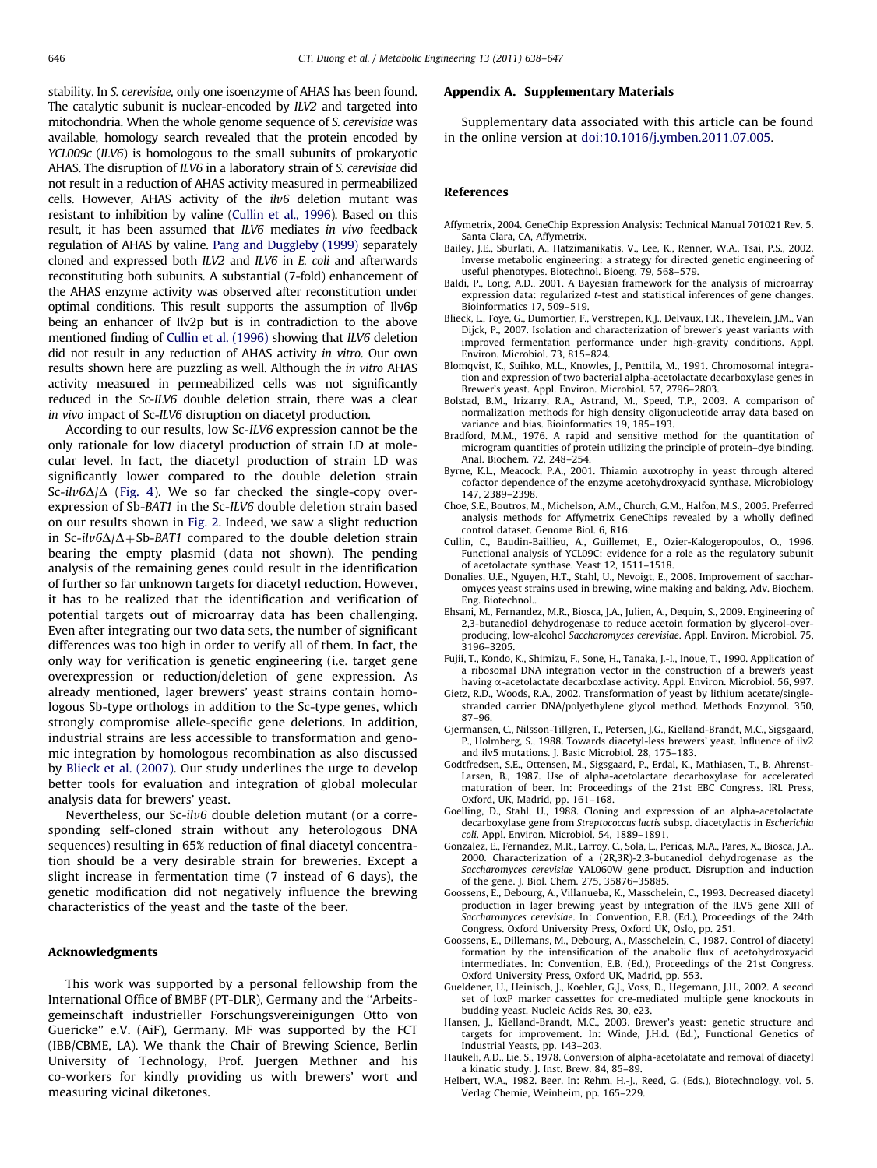<span id="page-8-0"></span>stability. In S. cerevisiae, only one isoenzyme of AHAS has been found. The catalytic subunit is nuclear-encoded by ILV2 and targeted into mitochondria. When the whole genome sequence of S. cerevisiae was available, homology search revealed that the protein encoded by YCL009c (ILV6) is homologous to the small subunits of prokaryotic AHAS. The disruption of ILV6 in a laboratory strain of S. cerevisiae did not result in a reduction of AHAS activity measured in permeabilized cells. However, AHAS activity of the  $ilv6$  deletion mutant was resistant to inhibition by valine (Cullin et al., 1996). Based on this result, it has been assumed that ILV6 mediates in vivo feedback regulation of AHAS by valine. [Pang and Duggleby \(1999\)](#page-9-0) separately cloned and expressed both ILV2 and ILV6 in E. coli and afterwards reconstituting both subunits. A substantial (7-fold) enhancement of the AHAS enzyme activity was observed after reconstitution under optimal conditions. This result supports the assumption of Ilv6p being an enhancer of Ilv2p but is in contradiction to the above mentioned finding of Cullin et al. (1996) showing that ILV6 deletion did not result in any reduction of AHAS activity in vitro. Our own results shown here are puzzling as well. Although the in vitro AHAS activity measured in permeabilized cells was not significantly reduced in the Sc-ILV6 double deletion strain, there was a clear in vivo impact of Sc-ILV6 disruption on diacetyl production.

According to our results, low Sc-ILV6 expression cannot be the only rationale for low diacetyl production of strain LD at molecular level. In fact, the diacetyl production of strain LD was significantly lower compared to the double deletion strain Sc-ilv6 $\Delta/\Delta$  [\(Fig. 4](#page-7-0)). We so far checked the single-copy overexpression of Sb-BAT1 in the Sc-ILV6 double deletion strain based on our results shown in [Fig. 2](#page-5-0). Indeed, we saw a slight reduction in Sc-ilv6 $\Delta/\Delta$ +Sb-BAT1 compared to the double deletion strain bearing the empty plasmid (data not shown). The pending analysis of the remaining genes could result in the identification of further so far unknown targets for diacetyl reduction. However, it has to be realized that the identification and verification of potential targets out of microarray data has been challenging. Even after integrating our two data sets, the number of significant differences was too high in order to verify all of them. In fact, the only way for verification is genetic engineering (i.e. target gene overexpression or reduction/deletion of gene expression. As already mentioned, lager brewers' yeast strains contain homologous Sb-type orthologs in addition to the Sc-type genes, which strongly compromise allele-specific gene deletions. In addition, industrial strains are less accessible to transformation and genomic integration by homologous recombination as also discussed by Blieck et al. (2007). Our study underlines the urge to develop better tools for evaluation and integration of global molecular analysis data for brewers' yeast.

Nevertheless, our Sc-ilv6 double deletion mutant (or a corresponding self-cloned strain without any heterologous DNA sequences) resulting in 65% reduction of final diacetyl concentration should be a very desirable strain for breweries. Except a slight increase in fermentation time (7 instead of 6 days), the genetic modification did not negatively influence the brewing characteristics of the yeast and the taste of the beer.

## Acknowledgments

This work was supported by a personal fellowship from the International Office of BMBF (PT-DLR), Germany and the ''Arbeitsgemeinschaft industrieller Forschungsvereinigungen Otto von Guericke'' e.V. (AiF), Germany. MF was supported by the FCT (IBB/CBME, LA). We thank the Chair of Brewing Science, Berlin University of Technology, Prof. Juergen Methner and his co-workers for kindly providing us with brewers' wort and measuring vicinal diketones.

#### Appendix A. Supplementary Materials

Supplementary data associated with this article can be found in the online version at [doi:10.1016/j.ymben.2011.07.005.](doi:10.1016/j.ymben.2011.07.005)

#### References

- Affymetrix, 2004. GeneChip Expression Analysis: Technical Manual 701021 Rev. 5. Santa Clara, CA, Affymetrix.
- Bailey, J.E., Sburlati, A., Hatzimanikatis, V., Lee, K., Renner, W.A., Tsai, P.S., 2002. Inverse metabolic engineering: a strategy for directed genetic engineering of useful phenotypes. Biotechnol. Bioeng. 79, 568–579.
- Baldi, P., Long, A.D., 2001. A Bayesian framework for the analysis of microarray expression data: regularized t-test and statistical inferences of gene changes. Bioinformatics 17, 509–519.
- Blieck, L., Toye, G., Dumortier, F., Verstrepen, K.J., Delvaux, F.R., Thevelein, J.M., Van Dijck, P., 2007. Isolation and characterization of brewer's yeast variants with improved fermentation performance under high-gravity conditions. Appl. Environ. Microbiol. 73, 815–824.
- Blomqvist, K., Suihko, M.L., Knowles, J., Penttila, M., 1991. Chromosomal integration and expression of two bacterial alpha-acetolactate decarboxylase genes in Brewer's yeast. Appl. Environ. Microbiol. 57, 2796–2803.
- Bolstad, B.M., Irizarry, R.A., Astrand, M., Speed, T.P., 2003. A comparison of normalization methods for high density oligonucleotide array data based on variance and bias. Bioinformatics 19, 185–193.
- Bradford, M.M., 1976. A rapid and sensitive method for the quantitation of microgram quantities of protein utilizing the principle of protein–dye binding. Anal. Biochem. 72, 248–254.
- Byrne, K.L., Meacock, P.A., 2001. Thiamin auxotrophy in yeast through altered cofactor dependence of the enzyme acetohydroxyacid synthase. Microbiology 147, 2389–2398.
- Choe, S.E., Boutros, M., Michelson, A.M., Church, G.M., Halfon, M.S., 2005. Preferred analysis methods for Affymetrix GeneChips revealed by a wholly defined control dataset. Genome Biol. 6, R16.
- Cullin, C., Baudin-Baillieu, A., Guillemet, E., Ozier-Kalogeropoulos, O., 1996. Functional analysis of YCL09C: evidence for a role as the regulatory subunit of acetolactate synthase. Yeast 12, 1511–1518.
- Donalies, U.E., Nguyen, H.T., Stahl, U., Nevoigt, E., 2008. Improvement of saccharomyces yeast strains used in brewing, wine making and baking. Adv. Biochem. Eng. Biotechnol..
- Ehsani, M., Fernandez, M.R., Biosca, J.A., Julien, A., Dequin, S., 2009. Engineering of 2,3-butanediol dehydrogenase to reduce acetoin formation by glycerol-overproducing, low-alcohol Saccharomyces cerevisiae. Appl. Environ. Microbiol. 75, 3196–3205.
- Fujii, T., Kondo, K., Shimizu, F., Sone, H., Tanaka, J.-I., Inoue, T., 1990. Application of a ribosomal DNA integration vector in the construction of a brewer's yeast having  $\alpha$ -acetolactate decarboxlase activity. Appl. Environ. Microbiol. 56, 997.
- Gietz, R.D., Woods, R.A., 2002. Transformation of yeast by lithium acetate/singlestranded carrier DNA/polyethylene glycol method. Methods Enzymol. 350, 87–96.
- Gjermansen, C., Nilsson-Tillgren, T., Petersen, J.G., Kielland-Brandt, M.C., Sigsgaard, P., Holmberg, S., 1988. Towards diacetyl-less brewers' yeast. Influence of ilv2 and ilv5 mutations. J. Basic Microbiol. 28, 175–183.
- Godtfredsen, S.E., Ottensen, M., Sigsgaard, P., Erdal, K., Mathiasen, T., B. Ahrenst-Larsen, B., 1987. Use of alpha-acetolactate decarboxylase for accelerated maturation of beer. In: Proceedings of the 21st EBC Congress. IRL Press, Oxford, UK, Madrid, pp. 161–168.
- Goelling, D., Stahl, U., 1988. Cloning and expression of an alpha-acetolactate decarboxylase gene from Streptococcus lactis subsp. diacetylactis in Escherichia coli. Appl. Environ. Microbiol. 54, 1889–1891.
- Gonzalez, E., Fernandez, M.R., Larroy, C., Sola, L., Pericas, M.A., Pares, X., Biosca, J.A., 2000. Characterization of a (2R,3R)-2,3-butanediol dehydrogenase as the Saccharomyces cerevisiae YAL060W gene product. Disruption and induction of the gene. J. Biol. Chem. 275, 35876–35885.
- Goossens, E., Debourg, A., Villanueba, K., Masschelein, C., 1993. Decreased diacetyl production in lager brewing yeast by integration of the ILV5 gene XIII of Saccharomyces cerevisiae. In: Convention, E.B. (Ed.), Proceedings of the 24th Congress. Oxford University Press, Oxford UK, Oslo, pp. 251.
- Goossens, E., Dillemans, M., Debourg, A., Masschelein, C., 1987. Control of diacetyl formation by the intensification of the anabolic flux of acetohydroxyacid intermediates. In: Convention, E.B. (Ed.), Proceedings of the 21st Congress. Oxford University Press, Oxford UK, Madrid, pp. 553.
- Gueldener, U., Heinisch, J., Koehler, G.J., Voss, D., Hegemann, J.H., 2002. A second set of loxP marker cassettes for cre-mediated multiple gene knockouts in budding yeast. Nucleic Acids Res. 30, e23.
- Hansen, J., Kielland-Brandt, M.C., 2003. Brewer's yeast: genetic structure and targets for improvement. In: Winde, J.H.d. (Ed.), Functional Genetics of Industrial Yeasts, pp. 143–203.
- Haukeli, A.D., Lie, S., 1978. Conversion of alpha-acetolatate and removal of diacetyl a kinatic study. J. Inst. Brew. 84, 85–89.
- Helbert, W.A., 1982. Beer. In: Rehm, H.-J., Reed, G. (Eds.), Biotechnology, vol. 5. Verlag Chemie, Weinheim, pp. 165–229.